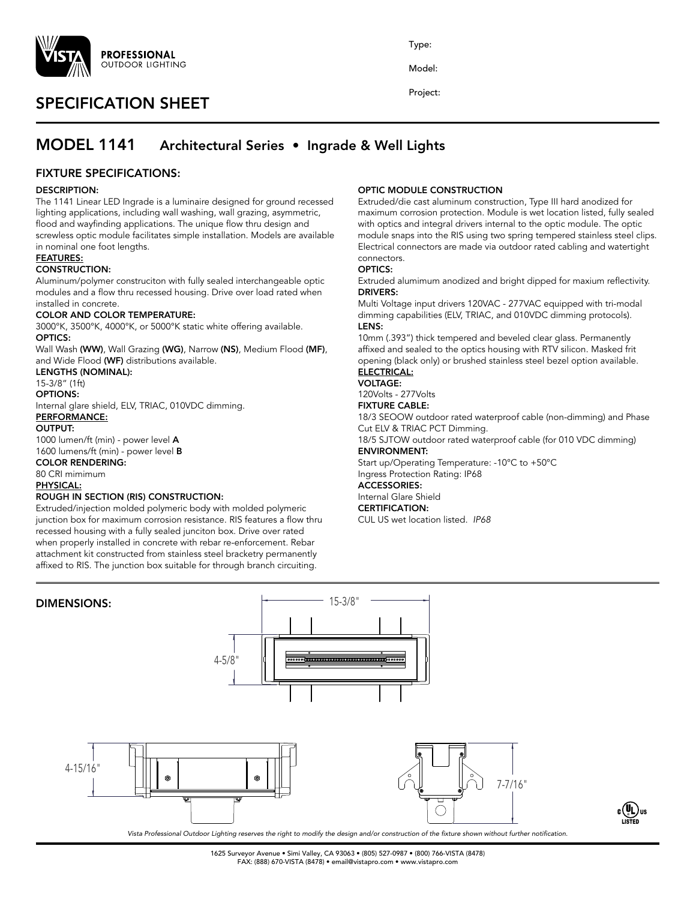

# SPECIFICATION SHEET

Type:

Model:

Project:

# MODEL 1141 Architectural Series • Ingrade & Well Lights

## FIXTURE SPECIFICATIONS:

### DESCRIPTION:

The 1141 Linear LED Ingrade is a luminaire designed for ground recessed lighting applications, including wall washing, wall grazing, asymmetric, flood and wayfinding applications. The unique flow thru design and screwless optic module facilitates simple installation. Models are available in nominal one foot lengths.

#### FEATURES:

### CONSTRUCTION:

Aluminum/polymer construciton with fully sealed interchangeable optic modules and a flow thru recessed housing. Drive over load rated when installed in concrete.

#### COLOR AND COLOR TEMPERATURE:

3000°K, 3500°K, 4000°K, or 5000°K static white offering available. OPTICS:

Wall Wash (WW), Wall Grazing (WG), Narrow (NS), Medium Flood (MF), and Wide Flood (WF) distributions available.

#### LENGTHS (NOMINAL):

15-3/8" (1ft)

## OPTIONS:

Internal glare shield, ELV, TRIAC, 010VDC dimming. PERFORMANCE:

#### OUTPUT:

1000 lumen/ft (min) - power level A 1600 lumens/ft (min) - power level B

#### COLOR RENDERING:

80 CRI mimimum PHYSICAL:

## ROUGH IN SECTION (RIS) CONSTRUCTION:

Extruded/injection molded polymeric body with molded polymeric junction box for maximum corrosion resistance. RIS features a flow thru recessed housing with a fully sealed junciton box. Drive over rated when properly installed in concrete with rebar re-enforcement. Rebar attachment kit constructed from stainless steel bracketry permanently affixed to RIS. The junction box suitable for through branch circuiting.

### OPTIC MODULE CONSTRUCTION

Extruded/die cast aluminum construction, Type III hard anodized for maximum corrosion protection. Module is wet location listed, fully sealed with optics and integral drivers internal to the optic module. The optic module snaps into the RIS using two spring tempered stainless steel clips. Electrical connectors are made via outdoor rated cabling and watertight connectors.

#### OPTICS:

Extruded alumimum anodized and bright dipped for maxium reflectivity. DRIVERS:

Multi Voltage input drivers 120VAC - 277VAC equipped with tri-modal dimming capabilities (ELV, TRIAC, and 010VDC dimming protocols). LENS:

10mm (.393") thick tempered and beveled clear glass. Permanently affixed and sealed to the optics housing with RTV silicon. Masked frit opening (black only) or brushed stainless steel bezel option available.

## ELECTRICAL:

VOLTAGE:

120Volts - 277Volts FIXTURE CABLE:

18/3 SEOOW outdoor rated waterproof cable (non-dimming) and Phase Cut ELV & TRIAC PCT Dimming.

18/5 SJTOW outdoor rated waterproof cable (for 010 VDC dimming) ENVIRONMENT:

Start up/Operating Temperature: -10°C to +50°C Ingress Protection Rating: IP68

## ACCESSORIES:

Internal Glare Shield CERTIFICATION:

CUL US wet location listed. *IP68*





*Vista Professional Outdoor Lighting reserves the right to modify the design and/or construction of the fixture shown without further notification.*